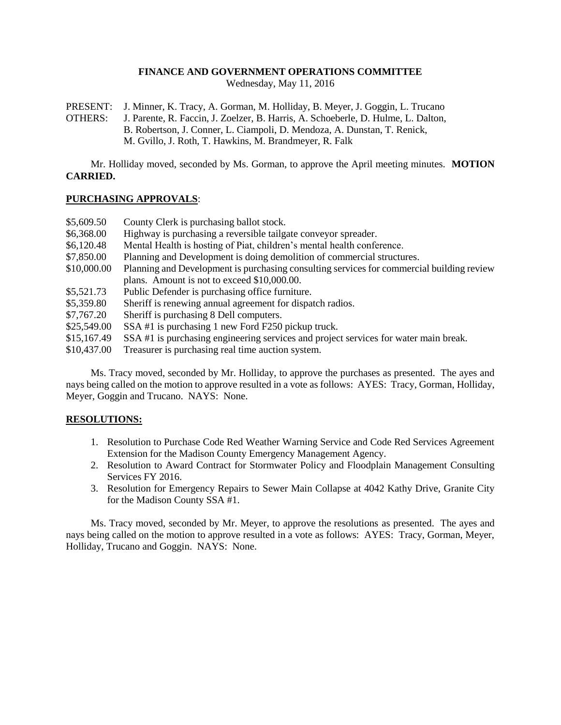## **FINANCE AND GOVERNMENT OPERATIONS COMMITTEE**

Wednesday, May 11, 2016

PRESENT: J. Minner, K. Tracy, A. Gorman, M. Holliday, B. Meyer, J. Goggin, L. Trucano OTHERS: J. Parente, R. Faccin, J. Zoelzer, B. Harris, A. Schoeberle, D. Hulme, L. Dalton, B. Robertson, J. Conner, L. Ciampoli, D. Mendoza, A. Dunstan, T. Renick, M. Gvillo, J. Roth, T. Hawkins, M. Brandmeyer, R. Falk

Mr. Holliday moved, seconded by Ms. Gorman, to approve the April meeting minutes. **MOTION CARRIED.**

## **PURCHASING APPROVALS**:

| \$5,609.50  | County Clerk is purchasing ballot stock.                                                  |
|-------------|-------------------------------------------------------------------------------------------|
| \$6,368.00  | Highway is purchasing a reversible tailgate conveyor spreader.                            |
| \$6,120.48  | Mental Health is hosting of Piat, children's mental health conference.                    |
| \$7,850.00  | Planning and Development is doing demolition of commercial structures.                    |
| \$10,000.00 | Planning and Development is purchasing consulting services for commercial building review |
|             | plans. Amount is not to exceed \$10,000.00.                                               |
| \$5,521.73  | Public Defender is purchasing office furniture.                                           |
| \$5,359.80  | Sheriff is renewing annual agreement for dispatch radios.                                 |
| \$7,767.20  | Sheriff is purchasing 8 Dell computers.                                                   |
| \$25,549.00 | SSA#1 is purchasing 1 new Ford F250 pickup truck.                                         |
| \$15,167.49 | SSA #1 is purchasing engineering services and project services for water main break.      |
| \$10,437.00 | Treasurer is purchasing real time auction system.                                         |

Ms. Tracy moved, seconded by Mr. Holliday, to approve the purchases as presented. The ayes and nays being called on the motion to approve resulted in a vote as follows: AYES: Tracy, Gorman, Holliday, Meyer, Goggin and Trucano. NAYS: None.

#### **RESOLUTIONS:**

- 1. Resolution to Purchase Code Red Weather Warning Service and Code Red Services Agreement Extension for the Madison County Emergency Management Agency.
- 2. Resolution to Award Contract for Stormwater Policy and Floodplain Management Consulting Services FY 2016.
- 3. Resolution for Emergency Repairs to Sewer Main Collapse at 4042 Kathy Drive, Granite City for the Madison County SSA #1.

Ms. Tracy moved, seconded by Mr. Meyer, to approve the resolutions as presented. The ayes and nays being called on the motion to approve resulted in a vote as follows: AYES: Tracy, Gorman, Meyer, Holliday, Trucano and Goggin. NAYS: None.